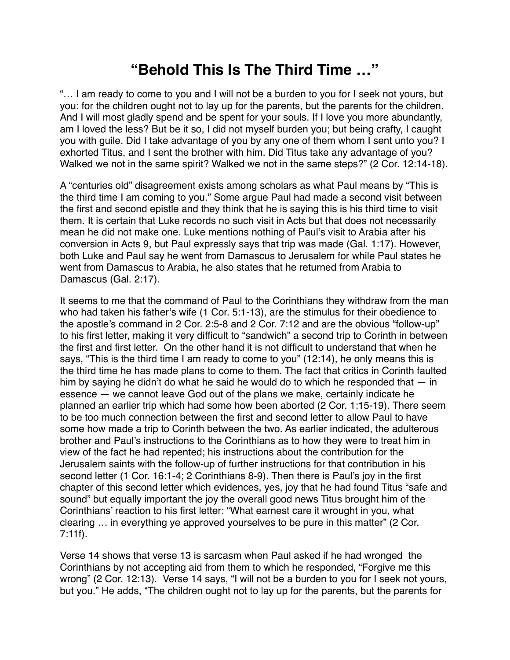## **"Behold This Is The Third Time …"**

"… I am ready to come to you and I will not be a burden to you for I seek not yours, but you: for the children ought not to lay up for the parents, but the parents for the children. And I will most gladly spend and be spent for your souls. If I love you more abundantly, am I loved the less? But be it so, I did not myself burden you; but being crafty, I caught you with guile. Did I take advantage of you by any one of them whom I sent unto you? I exhorted Titus, and I sent the brother with him. Did Titus take any advantage of you? Walked we not in the same spirit? Walked we not in the same steps?" (2 Cor. 12:14-18).

A "centuries old" disagreement exists among scholars as what Paul means by "This is the third time I am coming to you." Some argue Paul had made a second visit between the first and second epistle and they think that he is saying this is his third time to visit them. It is certain that Luke records no such visit in Acts but that does not necessarily mean he did not make one. Luke mentions nothing of Paul's visit to Arabia after his conversion in Acts 9, but Paul expressly says that trip was made (Gal. 1:17). However, both Luke and Paul say he went from Damascus to Jerusalem for while Paul states he went from Damascus to Arabia, he also states that he returned from Arabia to Damascus (Gal. 2:17).

It seems to me that the command of Paul to the Corinthians they withdraw from the man who had taken his father's wife (1 Cor. 5:1-13), are the stimulus for their obedience to the apostle's command in 2 Cor. 2:5-8 and 2 Cor. 7:12 and are the obvious "follow-up" to his first letter, making it very difficult to "sandwich" a second trip to Corinth in between the first and first letter. On the other hand it is not difficult to understand that when he says, "This is the third time I am ready to come to you" (12:14), he only means this is the third time he has made plans to come to them. The fact that critics in Corinth faulted him by saying he didn't do what he said he would do to which he responded that — in essence — we cannot leave God out of the plans we make, certainly indicate he planned an earlier trip which had some how been aborted (2 Cor. 1:15-19). There seem to be too much connection between the first and second letter to allow Paul to have some how made a trip to Corinth between the two. As earlier indicated, the adulterous brother and Paul's instructions to the Corinthians as to how they were to treat him in view of the fact he had repented; his instructions about the contribution for the Jerusalem saints with the follow-up of further instructions for that contribution in his second letter (1 Cor. 16:1-4; 2 Corinthians 8-9). Then there is Paul's joy in the first chapter of this second letter which evidences, yes, joy that he had found Titus "safe and sound" but equally important the joy the overall good news Titus brought him of the Corinthians' reaction to his first letter: "What earnest care it wrought in you, what clearing … in everything ye approved yourselves to be pure in this matter" (2 Cor. 7:11f).

Verse 14 shows that verse 13 is sarcasm when Paul asked if he had wronged the Corinthians by not accepting aid from them to which he responded, "Forgive me this wrong" (2 Cor. 12:13). Verse 14 says, "I will not be a burden to you for I seek not yours, but you." He adds, "The children ought not to lay up for the parents, but the parents for